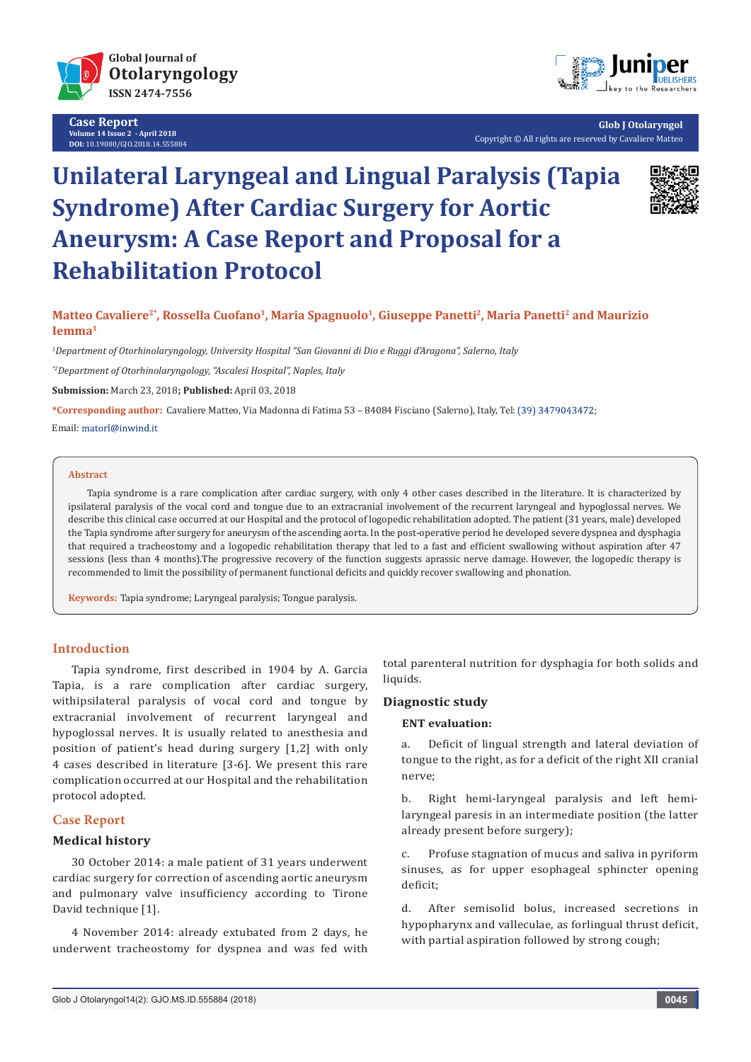

**Case Report Volume 14 Issue 2 - April 2018 DOI:** [10.19080/GJO.2018.14.555884](http://dx.doi.org/10.19080/GJO.2018.14.555884)



**Glob J Otolaryngol** Copyright © All rights are reserved by Cavaliere Matteo

# **Unilateral Laryngeal and Lingual Paralysis (Tapia Syndrome) After Cardiac Surgery for Aortic Aneurysm: A Case Report and Proposal for a Rehabilitation Protocol**



**Matteo Cavaliere2\*, Rossella Cuofano1, Maria Spagnuolo1, Giuseppe Panetti2, Maria Panetti2 and Maurizio Iemma1** 

*1 Department of Otorhinolaryngology, University Hospital "San Giovanni di Dio e Ruggi d'Aragona", Salerno, Italy*

*\*2Department of Otorhinolaryngology, "Ascalesi Hospital", Naples, Italy*

**Submission:** March 23, 2018**; Published:** April 03, 2018

**\*Corresponding author:** Cavaliere Matteo, Via Madonna di Fatima 53 – 84084 Fisciano (Salerno), Italy, Tel:

Email: matorl@inwind.it

#### **Abstract**

Tapia syndrome is a rare complication after cardiac surgery, with only 4 other cases described in the literature. It is characterized by ipsilateral paralysis of the vocal cord and tongue due to an extracranial involvement of the recurrent laryngeal and hypoglossal nerves. We describe this clinical case occurred at our Hospital and the protocol of logopedic rehabilitation adopted. The patient (31 years, male) developed the Tapia syndrome after surgery for aneurysm of the ascending aorta. In the post-operative period he developed severe dyspnea and dysphagia that required a tracheostomy and a logopedic rehabilitation therapy that led to a fast and efficient swallowing without aspiration after 47 sessions (less than 4 months).The progressive recovery of the function suggests aprassic nerve damage. However, the logopedic therapy is recommended to limit the possibility of permanent functional deficits and quickly recover swallowing and phonation.

**Keywords:** Tapia syndrome; Laryngeal paralysis; Tongue paralysis.

## **Introduction**

Tapia syndrome, first described in 1904 by A. Garcia Tapia, is a rare complication after cardiac surgery, withipsilateral paralysis of vocal cord and tongue by extracranial involvement of recurrent laryngeal and hypoglossal nerves. It is usually related to anesthesia and position of patient's head during surgery [1,2] with only 4 cases described in literature [3-6]. We present this rare complication occurred at our Hospital and the rehabilitation protocol adopted.

## **Case Report**

#### **Medical history**

30 October 2014: a male patient of 31 years underwent cardiac surgery for correction of ascending aortic aneurysm and pulmonary valve insufficiency according to Tirone David technique [1].

4 November 2014: already extubated from 2 days, he underwent tracheostomy for dyspnea and was fed with total parenteral nutrition for dysphagia for both solids and liquids.

## **Diagnostic study**

### **ENT evaluation:**

a. Deficit of lingual strength and lateral deviation of tongue to the right, as for a deficit of the right XII cranial nerve;

b. Right hemi-laryngeal paralysis and left hemilaryngeal paresis in an intermediate position (the latter already present before surgery);

c. Profuse stagnation of mucus and saliva in pyriform sinuses, as for upper esophageal sphincter opening deficit;

d. After semisolid bolus, increased secretions in hypopharynx and valleculae, as forlingual thrust deficit, with partial aspiration followed by strong cough;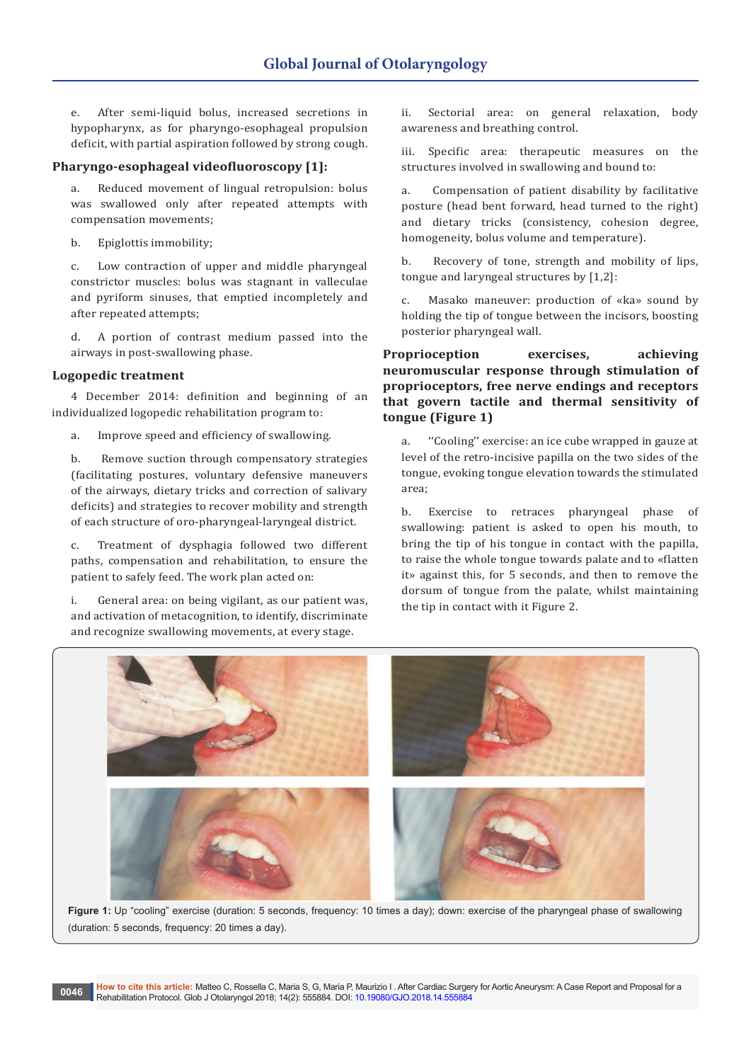e. After semi-liquid bolus, increased secretions in hypopharynx, as for pharyngo-esophageal propulsion deficit, with partial aspiration followed by strong cough.

#### **Pharyngo-esophageal videofluoroscopy [1]:**

a. Reduced movement of lingual retropulsion: bolus was swallowed only after repeated attempts with compensation movements;

b. Epiglottis immobility;

c. Low contraction of upper and middle pharyngeal constrictor muscles: bolus was stagnant in valleculae and pyriform sinuses, that emptied incompletely and after repeated attempts;

d. A portion of contrast medium passed into the airways in post-swallowing phase.

## **Logopedic treatment**

4 December 2014: definition and beginning of an individualized logopedic rehabilitation program to:

a. Improve speed and efficiency of swallowing.

b. Remove suction through compensatory strategies (facilitating postures, voluntary defensive maneuvers of the airways, dietary tricks and correction of salivary deficits) and strategies to recover mobility and strength of each structure of oro-pharyngeal-laryngeal district.

c. Treatment of dysphagia followed two different paths, compensation and rehabilitation, to ensure the patient to safely feed. The work plan acted on:

i. General area: on being vigilant, as our patient was, and activation of metacognition, to identify, discriminate and recognize swallowing movements, at every stage.

ii. Sectorial area: on general relaxation, body awareness and breathing control.

iii. Specific area: therapeutic measures on the structures involved in swallowing and bound to:

a. Compensation of patient disability by facilitative posture (head bent forward, head turned to the right) and dietary tricks (consistency, cohesion degree, homogeneity, bolus volume and temperature).

b. Recovery of tone, strength and mobility of lips, tongue and laryngeal structures by [1,2]:

c. Masako maneuver: production of «ka» sound by holding the tip of tongue between the incisors, boosting posterior pharyngeal wall.

**Proprioception exercises, achieving neuromuscular response through stimulation of proprioceptors, free nerve endings and receptors that govern tactile and thermal sensitivity of tongue (Figure 1)**

a. ''Cooling'' exercise: an ice cube wrapped in gauze at level of the retro-incisive papilla on the two sides of the tongue, evoking tongue elevation towards the stimulated area;

b. Exercise to retraces pharyngeal phase of swallowing: patient is asked to open his mouth, to bring the tip of his tongue in contact with the papilla, to raise the whole tongue towards palate and to «flatten it» against this, for 5 seconds, and then to remove the dorsum of tongue from the palate, whilst maintaining the tip in contact with it Figure 2.



Figure 1: Up "cooling" exercise (duration: 5 seconds, frequency: 10 times a day); down: exercise of the pharyngeal phase of swallowing (duration: 5 seconds, frequency: 20 times a day).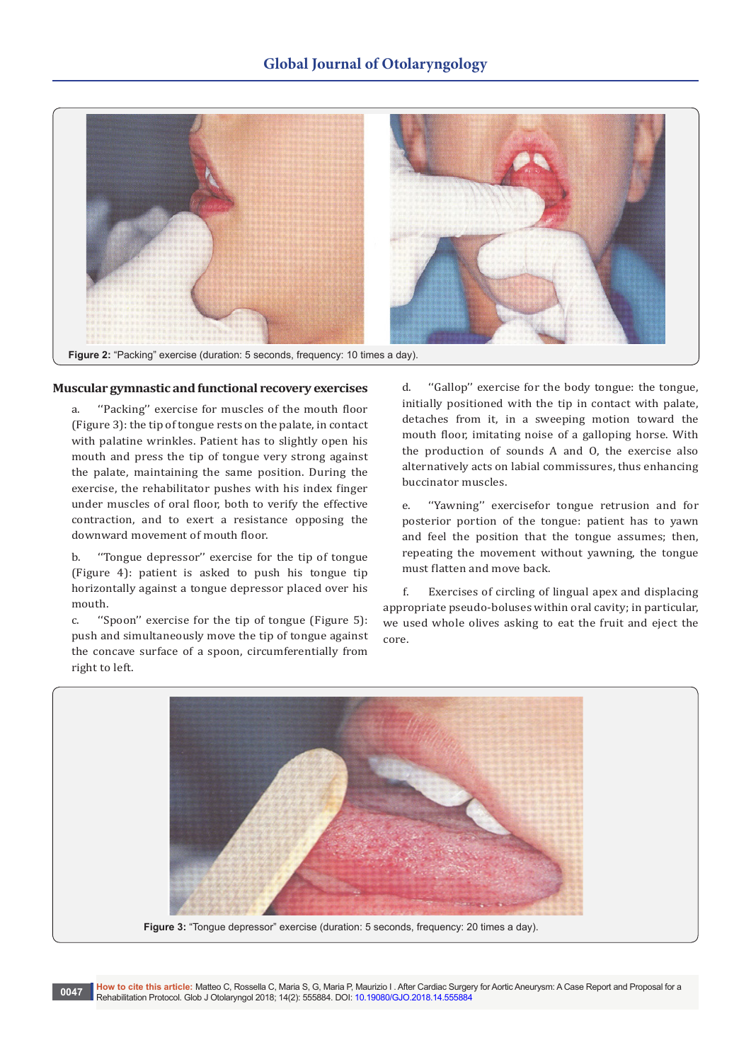

## **Muscular gymnastic and functional recovery exercises**

a. ''Packing'' exercise for muscles of the mouth floor (Figure 3): the tip of tongue rests on the palate, in contact with palatine wrinkles. Patient has to slightly open his mouth and press the tip of tongue very strong against the palate, maintaining the same position. During the exercise, the rehabilitator pushes with his index finger under muscles of oral floor, both to verify the effective contraction, and to exert a resistance opposing the downward movement of mouth floor.

b. ''Tongue depressor'' exercise for the tip of tongue (Figure 4): patient is asked to push his tongue tip horizontally against a tongue depressor placed over his mouth.

c. ''Spoon'' exercise for the tip of tongue (Figure 5): push and simultaneously move the tip of tongue against the concave surface of a spoon, circumferentially from right to left.

d. ''Gallop'' exercise for the body tongue: the tongue, initially positioned with the tip in contact with palate, detaches from it, in a sweeping motion toward the mouth floor, imitating noise of a galloping horse. With the production of sounds A and O, the exercise also alternatively acts on labial commissures, thus enhancing buccinator muscles.

e. ''Yawning'' exercisefor tongue retrusion and for posterior portion of the tongue: patient has to yawn and feel the position that the tongue assumes; then, repeating the movement without yawning, the tongue must flatten and move back.

 f. Exercises of circling of lingual apex and displacing appropriate pseudo-boluses within oral cavity; in particular, we used whole olives asking to eat the fruit and eject the core.

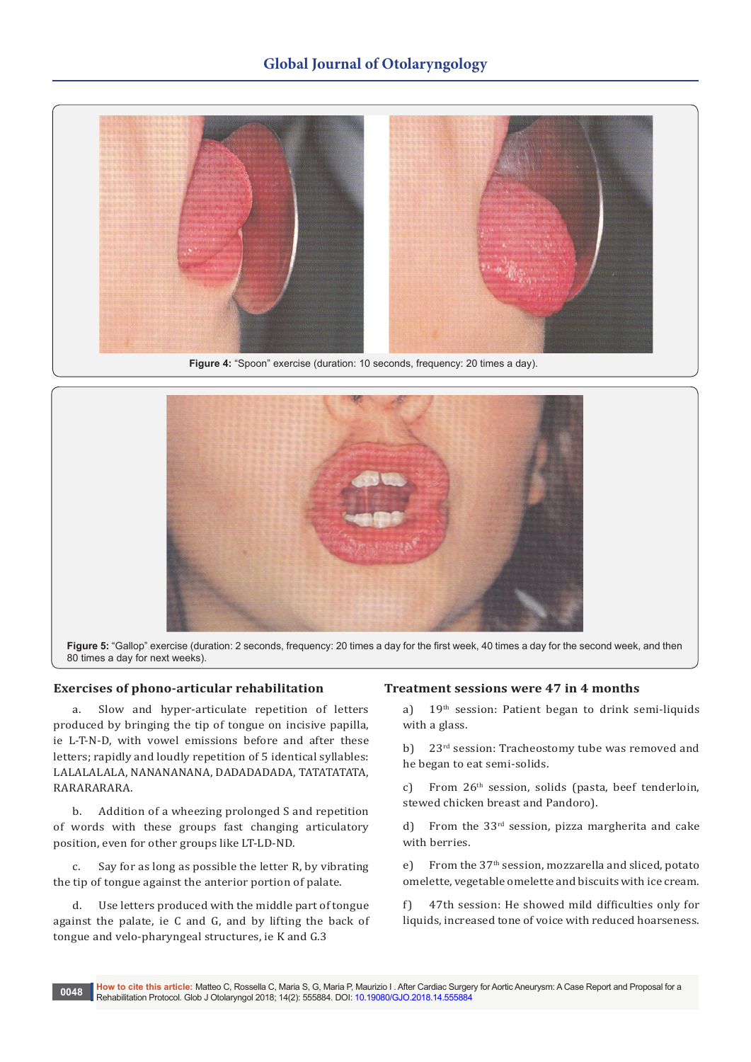

Figure 4: "Spoon" exercise (duration: 10 seconds, frequency: 20 times a day).



**Figure 5:** "Gallop" exercise (duration: 2 seconds, frequency: 20 times a day for the first week, 40 times a day for the second week, and then 80 times a day for next weeks).

# **Exercises of phono-articular rehabilitation**

a. Slow and hyper-articulate repetition of letters produced by bringing the tip of tongue on incisive papilla, ie L-T-N-D, with vowel emissions before and after these letters; rapidly and loudly repetition of 5 identical syllables: LALALALALA, NANANANANA, DADADADADA, TATATATATA, RARARARARA.

b. Addition of a wheezing prolonged S and repetition of words with these groups fast changing articulatory position, even for other groups like LT-LD-ND.

c. Say for as long as possible the letter R, by vibrating the tip of tongue against the anterior portion of palate.

d. Use letters produced with the middle part of tongue against the palate, ie C and G, and by lifting the back of tongue and velo-pharyngeal structures, ie K and G.3

## **Treatment sessions were 47 in 4 months**

a) 19<sup>th</sup> session: Patient began to drink semi-liquids with a glass.

b) 23<sup>rd</sup> session: Tracheostomy tube was removed and he began to eat semi-solids.

c) From  $26<sup>th</sup>$  session, solids (pasta, beef tenderloin, stewed chicken breast and Pandoro).

d) From the 33<sup>rd</sup> session, pizza margherita and cake with berries.

e) From the 37<sup>th</sup> session, mozzarella and sliced, potato omelette, vegetable omelette and biscuits with ice cream.

f) 47th session: He showed mild difficulties only for liquids, increased tone of voice with reduced hoarseness.